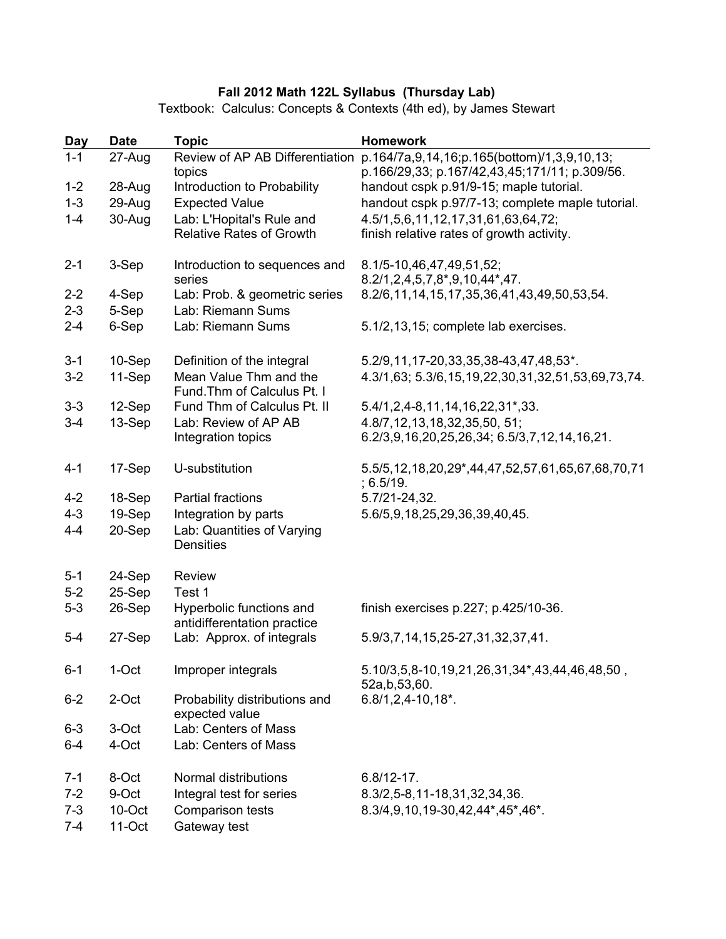## **Fall 2012 Math 122L Syllabus (Thursday Lab)**

Textbook: Calculus: Concepts & Contexts (4th ed), by James Stewart

| <b>Day</b> | <b>Date</b> | <b>Topic</b>                                                 | <b>Homework</b>                                                                              |
|------------|-------------|--------------------------------------------------------------|----------------------------------------------------------------------------------------------|
| $1 - 1$    | 27-Aug      | Review of AP AB Differentiation<br>topics                    | p.164/7a,9,14,16;p.165(bottom)/1,3,9,10,13;<br>p.166/29,33; p.167/42,43,45;171/11; p.309/56. |
| $1 - 2$    | 28-Aug      | Introduction to Probability                                  | handout cspk p.91/9-15; maple tutorial.                                                      |
| $1 - 3$    | 29-Aug      | <b>Expected Value</b>                                        | handout cspk p.97/7-13; complete maple tutorial.                                             |
| $1 - 4$    | 30-Aug      | Lab: L'Hopital's Rule and<br><b>Relative Rates of Growth</b> | 4.5/1,5,6,11,12,17,31,61,63,64,72;<br>finish relative rates of growth activity.              |
| $2 - 1$    | 3-Sep       | Introduction to sequences and<br>series                      | 8.1/5-10,46,47,49,51,52;<br>8.2/1,2,4,5,7,8*,9,10,44*,47.                                    |
| $2 - 2$    | 4-Sep       | Lab: Prob. & geometric series                                | 8.2/6,11,14,15,17,35,36,41,43,49,50,53,54.                                                   |
| $2 - 3$    | 5-Sep       | Lab: Riemann Sums                                            |                                                                                              |
| $2 - 4$    | 6-Sep       | Lab: Riemann Sums                                            | 5.1/2,13,15; complete lab exercises.                                                         |
| $3 - 1$    | 10-Sep      | Definition of the integral                                   | 5.2/9,11,17-20,33,35,38-43,47,48,53*.                                                        |
| $3-2$      | 11-Sep      | Mean Value Thm and the<br>Fund. Thm of Calculus Pt. I        | 4.3/1,63; 5.3/6,15,19,22,30,31,32,51,53,69,73,74.                                            |
| $3 - 3$    | 12-Sep      | Fund Thm of Calculus Pt. II                                  | 5.4/1, 2, 4-8, 11, 14, 16, 22, 31*, 33.                                                      |
| $3 - 4$    | 13-Sep      | Lab: Review of AP AB                                         | 4.8/7, 12, 13, 18, 32, 35, 50, 51;                                                           |
|            |             | Integration topics                                           | 6.2/3,9,16,20,25,26,34; 6.5/3,7,12,14,16,21.                                                 |
| $4 - 1$    | 17-Sep      | U-substitution                                               | 5.5/5, 12, 18, 20, 29*, 44, 47, 52, 57, 61, 65, 67, 68, 70, 71<br>; 6.5/19.                  |
| $4 - 2$    | 18-Sep      | <b>Partial fractions</b>                                     | 5.7/21-24,32.                                                                                |
| $4 - 3$    | 19-Sep      | Integration by parts                                         | 5.6/5,9,18,25,29,36,39,40,45.                                                                |
| $4 - 4$    | 20-Sep      | Lab: Quantities of Varying<br><b>Densities</b>               |                                                                                              |
| $5 - 1$    | 24-Sep      | <b>Review</b>                                                |                                                                                              |
| $5-2$      | 25-Sep      | Test 1                                                       |                                                                                              |
| $5-3$      | 26-Sep      | Hyperbolic functions and<br>antidifferentation practice      | finish exercises p.227; p.425/10-36.                                                         |
| $5 - 4$    | 27-Sep      | Lab: Approx. of integrals                                    | 5.9/3,7,14,15,25-27,31,32,37,41.                                                             |
| $6 - 1$    | 1-Oct       | Improper integrals                                           | 5.10/3,5,8-10,19,21,26,31,34*,43,44,46,48,50,<br>52a,b,53,60.                                |
| $6 - 2$    | 2-Oct       | Probability distributions and<br>expected value              | $6.8/1, 2, 4-10, 18$ <sup>*</sup> .                                                          |
| $6 - 3$    | 3-Oct       | Lab: Centers of Mass                                         |                                                                                              |
| $6 - 4$    | 4-Oct       | Lab: Centers of Mass                                         |                                                                                              |
| $7 - 1$    | 8-Oct       | Normal distributions                                         | $6.8/12 - 17.$                                                                               |
| $7 - 2$    | 9-Oct       | Integral test for series                                     | 8.3/2,5-8,11-18,31,32,34,36.                                                                 |
| $7 - 3$    | 10-Oct      | Comparison tests                                             | 8.3/4,9,10,19-30,42,44*,45*,46*.                                                             |
| $7 - 4$    | 11-Oct      | Gateway test                                                 |                                                                                              |